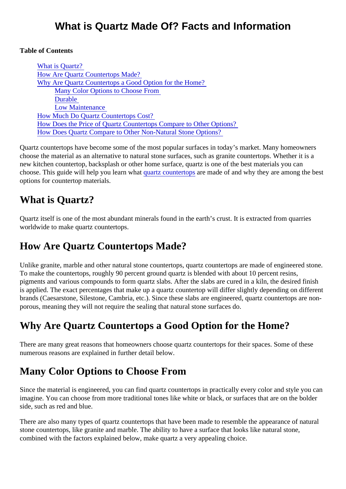#### Table of Contents

What is Quartz? How Are Quartz Countertops Made? Why Are Quartz Countertops a Good Option for the Home? Many Color Options to Choose From [Durable](#page-1-0) [Low Maintenance](#page-1-0) [How Much Do Quartz Countertops Cos](#page-1-0)t? [How Does the Price of Quartz Countertops Compare to Other Op](#page-1-0)tions? [How Does Quartz Compare to Other Non-Natural Stone Opti](#page-2-0)ons?

Quartz countertops have become some of the most popular surfaces in today's market. Many homeowner choose the material as an alternative to natural stone surfaces, such as granite countertops. Whether it is new kitchen countertop, backsplash or other home surface, quartz is one of the best materials you can choose.This guide will help you learn what artz countertopare made of and why they are among the best options for countertop materials.

## What is Quartz?

Quartz itself is one of the most abundant minerals found in the earth's crust. It is extracted from quarries worldwide to make quartz countertops.

## How Are Quartz Countertops Made?

Unlike granite, marble and other natural stone countertops, quartz countertops are made of engineered sto To make the countertops, roughly 90 percent ground quartz is blended with about 10 percent resins, pigments and various compounds to form quartz slabs. After the slabs are cured in a kiln, the desired finis is applied. The exact percentages that make up a quartz countertop will differ slightly depending on differe brands (Caesarstone, Silestone, Cambria, etc.). Since these slabs are engineered, quartz countertops are porous, meaning they will not require the sealing that natural stone surfaces do.

# Why Are Quartz Countertops a Good Option for the Home?

There are many great reasons that homeowners choose quartz countertops for their spaces. Some of these numerous reasons are explained in further detail below.

# Many Color Options to Choose From

Since the material is engineered, you can find quartz countertops in practically every color and style you c imagine. You can choose from more traditional tones like white or black, or surfaces that are on the bolder side, such as red and blue.

There are also many types of quartz countertops that have been made to resemble the appearance of nat stone countertops, like granite and marble. The ability to have a surface that looks like natural stone, combined with the factors explained below, make quartz a very appealing choice.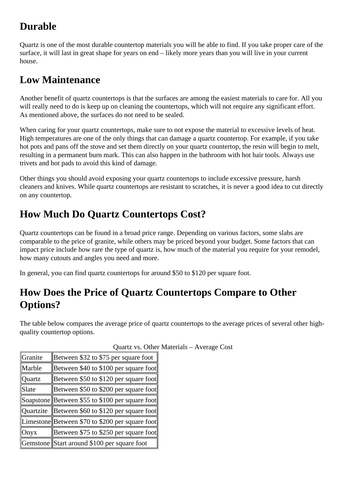# <span id="page-1-0"></span>**Durable**

Quartz is one of the most durable countertop materials you will be able to find. If you take proper care of the surface, it will last in great shape for years on end – likely more years than you will live in your current house.

## **Low Maintenance**

Another benefit of quartz countertops is that the surfaces are among the easiest materials to care for. All you will really need to do is keep up on cleaning the countertops, which will not require any significant effort. As mentioned above, the surfaces do not need to be sealed.

When caring for your quartz countertops, make sure to not expose the material to excessive levels of heat. High temperatures are one of the only things that can damage a quartz countertop. For example, if you take hot pots and pans off the stove and set them directly on your quartz countertop, the resin will begin to melt, resulting in a permanent burn mark. This can also happen in the bathroom with hot hair tools. Always use trivets and hot pads to avoid this kind of damage.

Other things you should avoid exposing your quartz countertops to include excessive pressure, harsh cleaners and knives. While quartz countertops are resistant to scratches, it is never a good idea to cut directly on any countertop.

# **How Much Do Quartz Countertops Cost?**

Quartz countertops can be found in a broad price range. Depending on various factors, some slabs are comparable to the price of granite, while others may be priced beyond your budget. Some factors that can impact price include how rare the type of quartz is, how much of the material you require for your remodel, how many cutouts and angles you need and more.

In general, you can find quartz countertops for around \$50 to \$120 per square foot.

# **How Does the Price of Quartz Countertops Compare to Other Options?**

The table below compares the average price of quartz countertops to the average prices of several other highquality countertop options.

| Granite       | Between \$32 to \$75 per square foot            |
|---------------|-------------------------------------------------|
| Marble        | Between \$40 to \$100 per square foot           |
| <b>Quartz</b> | Between \$50 to \$120 per square foot           |
| Slate         | Between \$50 to \$200 per square foot           |
|               | Soapstone Between \$55 to \$100 per square foot |
| Ouartzite     | Between \$60 to \$120 per square foot           |
|               | Limestone Between \$70 to \$200 per square foot |
| Onyx          | Between \$75 to \$250 per square foot           |
|               | Gemstone Start around \$100 per square foot     |

Quartz vs. Other Materials – Average Cost